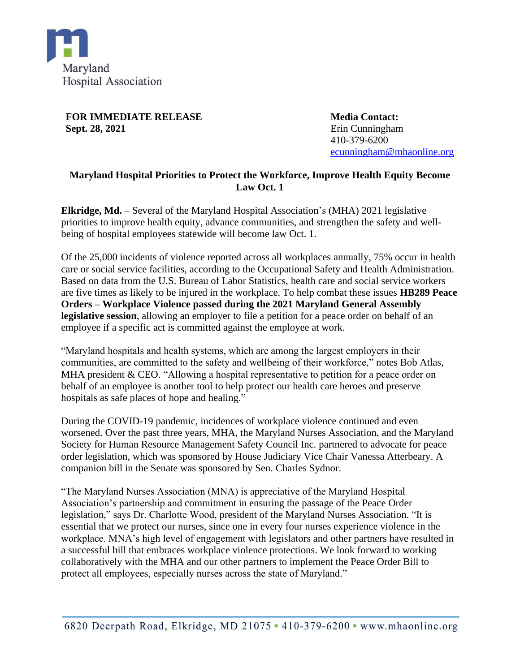

**FOR IMMEDIATE RELEASE Sept. 28, 2021**

**Media Contact:** Erin Cunningham 410-379-6200 [ecunningham@mhaonline.org](mailto:ecunningham@mhaonline.org)

## **Maryland Hospital Priorities to Protect the Workforce, Improve Health Equity Become Law Oct. 1**

**Elkridge, Md.** – Several of the Maryland Hospital Association's (MHA) 2021 legislative priorities to improve health equity, advance communities, and strengthen the safety and wellbeing of hospital employees statewide will become law Oct. 1.

Of the 25,000 incidents of violence reported across all workplaces annually, 75% occur in health care or social service facilities, according to the Occupational Safety and Health Administration. Based on data from the U.S. Bureau of Labor Statistics, health care and social service workers are five times as likely to be injured in the workplace. To help combat these issues **HB289 Peace Orders – Workplace Violence passed during the 2021 Maryland General Assembly legislative session**, allowing an employer to file a petition for a peace order on behalf of an employee if a specific act is committed against the employee at work.

"Maryland hospitals and health systems, which are among the largest employers in their communities, are committed to the safety and wellbeing of their workforce," notes Bob Atlas, MHA president & CEO. "Allowing a hospital representative to petition for a peace order on behalf of an employee is another tool to help protect our health care heroes and preserve hospitals as safe places of hope and healing."

During the COVID-19 pandemic, incidences of workplace violence continued and even worsened. Over the past three years, MHA, the Maryland Nurses Association, and the Maryland Society for Human Resource Management Safety Council Inc. partnered to advocate for peace order legislation, which was sponsored by House Judiciary Vice Chair Vanessa Atterbeary. A companion bill in the Senate was sponsored by Sen. Charles Sydnor.

"The Maryland Nurses Association (MNA) is appreciative of the Maryland Hospital Association's partnership and commitment in ensuring the passage of the Peace Order legislation," says Dr. Charlotte Wood, president of the Maryland Nurses Association. "It is essential that we protect our nurses, since one in every four nurses experience violence in the workplace. MNA's high level of engagement with legislators and other partners have resulted in a successful bill that embraces workplace violence protections. We look forward to working collaboratively with the MHA and our other partners to implement the Peace Order Bill to protect all employees, especially nurses across the state of Maryland."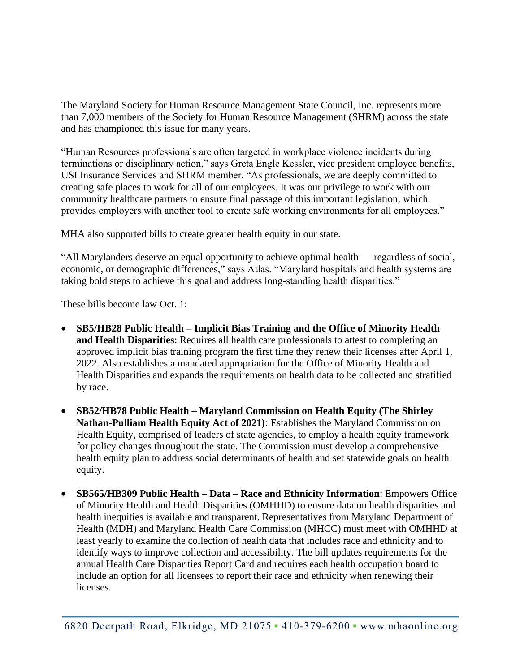The Maryland Society for Human Resource Management State Council, Inc. represents more than 7,000 members of the Society for Human Resource Management (SHRM) across the state and has championed this issue for many years.

"Human Resources professionals are often targeted in workplace violence incidents during terminations or disciplinary action," says Greta Engle Kessler, vice president employee benefits, USI Insurance Services and SHRM member. "As professionals, we are deeply committed to creating safe places to work for all of our employees. It was our privilege to work with our community healthcare partners to ensure final passage of this important legislation, which provides employers with another tool to create safe working environments for all employees."

MHA also supported bills to create greater health equity in our state.

"All Marylanders deserve an equal opportunity to achieve optimal health — regardless of social, economic, or demographic differences," says Atlas. "Maryland hospitals and health systems are taking bold steps to achieve this goal and address long-standing health disparities."

These bills become law Oct. 1:

- **SB5/HB28 Public Health – Implicit Bias Training and the Office of Minority Health and Health Disparities**: Requires all health care professionals to attest to completing an approved implicit bias training program the first time they renew their licenses after April 1, 2022. Also establishes a mandated appropriation for the Office of Minority Health and Health Disparities and expands the requirements on health data to be collected and stratified by race.
- **SB52/HB78 Public Health – Maryland Commission on Health Equity (The Shirley Nathan-Pulliam Health Equity Act of 2021)**: Establishes the Maryland Commission on Health Equity, comprised of leaders of state agencies, to employ a health equity framework for policy changes throughout the state. The Commission must develop a comprehensive health equity plan to address social determinants of health and set statewide goals on health equity.
- **SB565/HB309 Public Health – Data – Race and Ethnicity Information**: Empowers Office of Minority Health and Health Disparities (OMHHD) to ensure data on health disparities and health inequities is available and transparent. Representatives from Maryland Department of Health (MDH) and Maryland Health Care Commission (MHCC) must meet with OMHHD at least yearly to examine the collection of health data that includes race and ethnicity and to identify ways to improve collection and accessibility. The bill updates requirements for the annual Health Care Disparities Report Card and requires each health occupation board to include an option for all licensees to report their race and ethnicity when renewing their licenses.